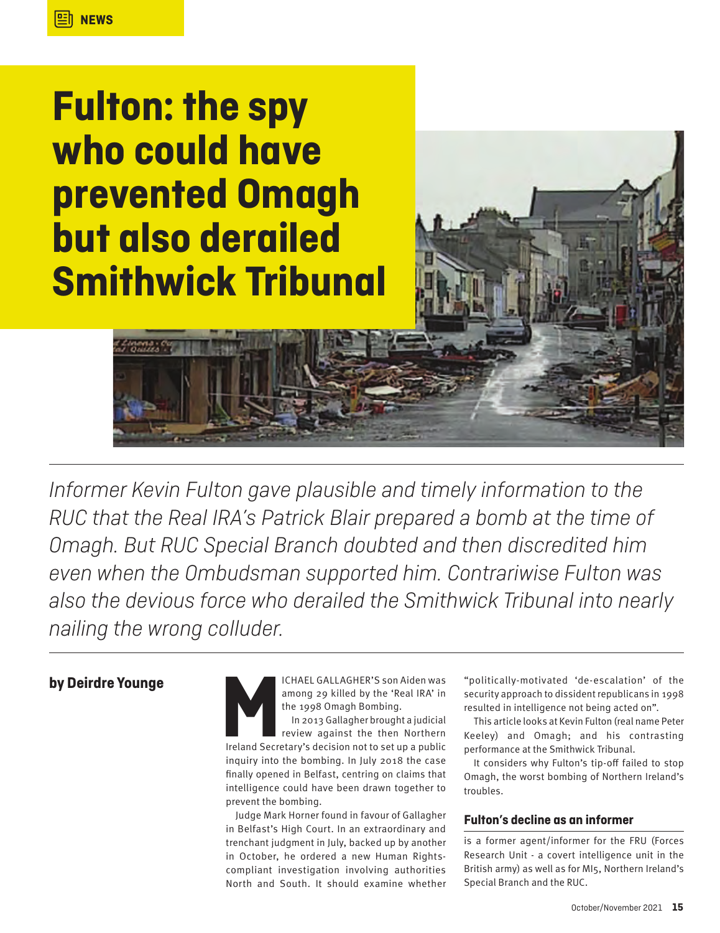# **Fulton: the spy who could have prevented Omagh but also derailed Smithwick Tribunal**

*Informer Kevin Fulton gave plausible and timely information to the RUC that the Real IRA's Patrick Blair prepared a bomb at the time of Omagh. But RUC Special Branch doubted and then discredited him even when the Ombudsman supported him. Contrariwise Fulton was also the devious force who derailed the Smithwick Tribunal into nearly nailing the wrong colluder.*

among 29 killed by the 'Real IRA' in the 1998 Omagh Bombing.

**by Deirdre Younge**<br> **allenger van die hy the 'Real IRA' in**<br>
ICHAEL GALLAGHER'S son Aiden was<br>
among 29 killed by the 'Real IRA' in<br>
the 1998 Omagh Bombing.<br>
In 2013 Gallagher brought a judicial<br>
review against the then N In 2013 Gallagher brought a judicial review against the then Northern Ireland Secretary's decision not to set up a public inquiry into the bombing. In July 2018 the case finally opened in Belfast, centring on claims that intelligence could have been drawn together to prevent the bombing.

> Judge Mark Horner found in favour of Gallagher in Belfast's High Court. In an extraordinary and trenchant judgment in July, backed up by another in October, he ordered a new Human Rightscompliant investigation involving authorities North and South. It should examine whether

"politically-motivated 'de-escalation' of the security approach to dissident republicans in 1998 resulted in intelligence not being acted on".

This article looks at Kevin Fulton (real name Peter Keeley) and Omagh; and his contrasting performance at the Smithwick Tribunal.

It considers why Fulton's tip-off failed to stop Omagh, the worst bombing of Northern Ireland's troubles.

#### **Fulton's decline as an informer**

is a former agent/informer for the FRU (Forces Research Unit - a covert intelligence unit in the British army) as well as for MI5, Northern Ireland's Special Branch and the RUC.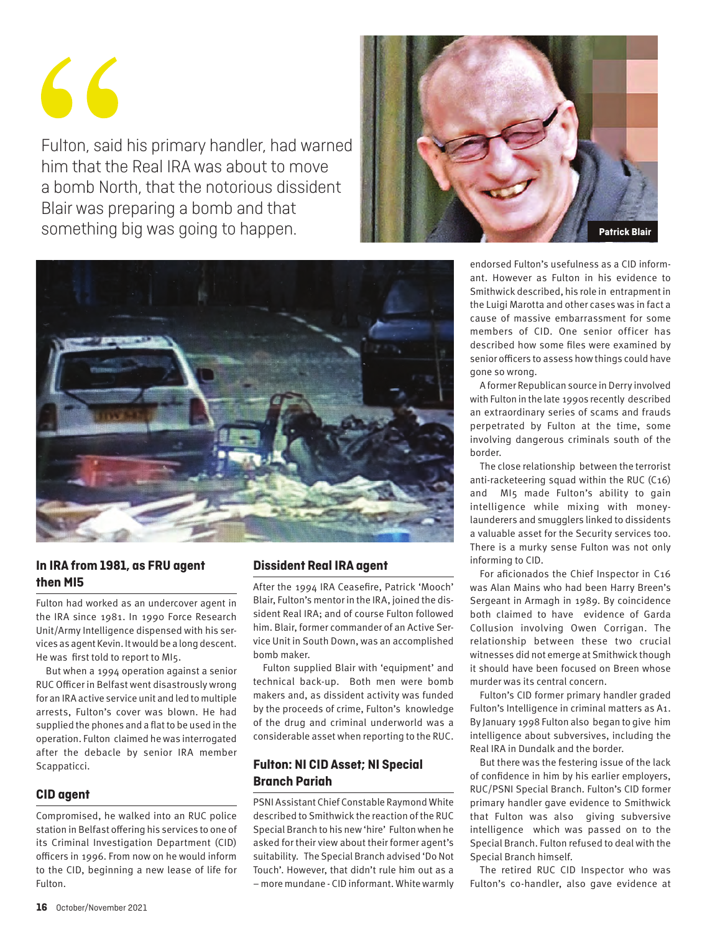$\leq$ 

Fulton, said his primary handler, had warned him that the Real IRA was about to move a bomb North, that the notorious dissident Blair was preparing a bomb and that something big was going to happen. **Patrick Blair** 





#### **In IRA from 1981, as FRU agent then MI5**

Fulton had worked as an undercover agent in the IRA since 1981. In 1990 Force Research Unit/Army Intelligence dispensed with his services as agent Kevin. It would be a long descent. He was first told to report to MI5.

But when a 1994 operation against a senior RUC Officer in Belfast went disastrously wrong for an IRA active service unit and led to multiple arrests, Fulton's cover was blown. He had supplied the phones and a flat to be used in the operation. Fulton claimed he was interrogated after the debacle by senior IRA member Scappaticci.

#### **CID agent**

Compromised, he walked into an RUC police station in Belfast offering his services to one of its Criminal Investigation Department (CID) officers in 1996. From now on he would inform to the CID, beginning a new lease of life for Fulton.

#### **Dissident Real IRA agent**

After the 1994 IRA Ceasefire, Patrick 'Mooch' Blair, Fulton's mentor in the IRA, joined the dissident Real IRA; and of course Fulton followed him. Blair, former commander of an Active Service Unit in South Down, was an accomplished bomb maker.

Fulton supplied Blair with 'equipment' and technical back-up. Both men were bomb makers and, as dissident activity was funded by the proceeds of crime, Fulton's knowledge of the drug and criminal underworld was a considerable asset when reporting to the RUC.

#### **Fulton: NI CID Asset; NI Special Branch Pariah**

PSNI Assistant Chief Constable Raymond White described to Smithwick the reaction of the RUC Special Branch to his new 'hire' Fulton when he asked for their view about their former agent's suitability. The Special Branch advised 'Do Not Touch'. However, that didn't rule him out as a – more mundane - CID informant. White warmly endorsed Fulton's usefulness as a CID informant. However as Fulton in his evidence to Smithwick described, his role in entrapment in the Luigi Marotta and other cases was in fact a cause of massive embarrassment for some members of CID. One senior officer has described how some files were examined by senior officers to assess how things could have gone so wrong.

A former Republican source in Derry involved with Fulton in the late 1990s recently described an extraordinary series of scams and frauds perpetrated by Fulton at the time, some involving dangerous criminals south of the border.

The close relationship between the terrorist anti-racketeering squad within the RUC (C16) and MI5 made Fulton's ability to gain intelligence while mixing with moneylaunderers and smugglers linked to dissidents a valuable asset for the Security services too. There is a murky sense Fulton was not only informing to CID.

For aficionados the Chief Inspector in C16 was Alan Mains who had been Harry Breen's Sergeant in Armagh in 1989. By coincidence both claimed to have evidence of Garda Collusion involving Owen Corrigan. The relationship between these two crucial witnesses did not emerge at Smithwick though it should have been focused on Breen whose murder was its central concern.

Fulton's CID former primary handler graded Fulton's Intelligence in criminal matters as A1. By January 1998 Fulton also began to give him intelligence about subversives, including the Real IRA in Dundalk and the border.

But there was the festering issue of the lack of confidence in him by his earlier employers, RUC/PSNI Special Branch. Fulton's CID former primary handler gave evidence to Smithwick that Fulton was also giving subversive intelligence which was passed on to the Special Branch. Fulton refused to deal with the Special Branch himself.

The retired RUC CID Inspector who was Fulton's co-handler, also gave evidence at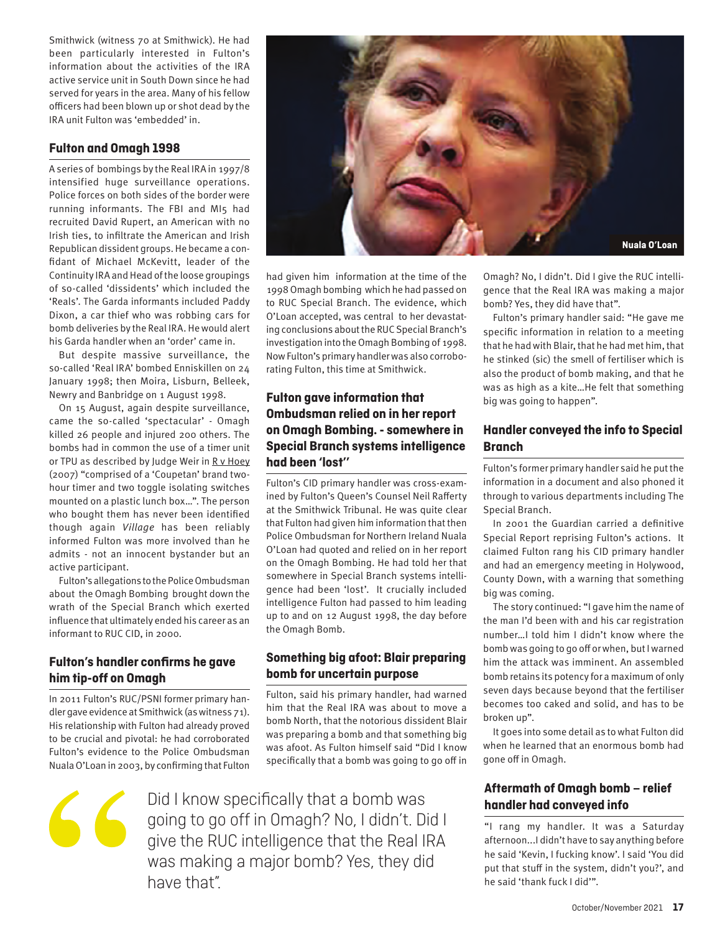Smithwick (witness 70 at Smithwick). He had been particularly interested in Fulton's information about the activities of the IRA active service unit in South Down since he had served for years in the area. Many of his fellow officers had been blown up or shot dead by the IRA unit Fulton was 'embedded' in.

#### **Fulton and Omagh 1998**

A series of bombings by the Real IRA in 1997/8 intensified huge surveillance operations. Police forces on both sides of the border were running informants. The FBI and MI5 had recruited David Rupert, an American with no Irish ties, to infiltrate the American and Irish Republican dissident groups. He became a confidant of Michael McKevitt, leader of the Continuity IRA and Head of the loose groupings of so-called 'dissidents' which included the 'Reals'. The Garda informants included Paddy Dixon, a car thief who was robbing cars for bomb deliveries by the Real IRA. He would alert his Garda handler when an 'order' came in.

But despite massive surveillance, the so-called 'Real IRA' bombed Enniskillen on 24 January 1998; then Moira, Lisburn, Belleek, Newry and Banbridge on 1 August 1998.

On 15 August, again despite surveillance, came the so-called 'spectacular' - Omagh killed 26 people and injured 200 others. The bombs had in common the use of a timer unit or TPU as described by Judge Weir in R v Hoey (2007) "comprised of a 'Coupetan' brand twohour timer and two toggle isolating switches mounted on a plastic lunch box…". The person who bought them has never been identified though again *Village* has been reliably informed Fulton was more involved than he admits - not an innocent bystander but an active participant.

Fulton's allegations to the Police Ombudsman about the Omagh Bombing brought down the wrath of the Special Branch which exerted influence that ultimately ended his career as an informant to RUC CID, in 2000.

#### **Fulton's handler confirms he gave him tip-off on Omagh**

In 2011 Fulton's RUC/PSNI former primary handler gave evidence at Smithwick (as witness 71). His relationship with Fulton had already proved to be crucial and pivotal: he had corroborated Fulton's evidence to the Police Ombudsman Nuala O'Loan in 2003, by confirming that Fulton



1998 Omagh bombing which he had passed on to RUC Special Branch. The evidence, which O'Loan accepted, was central to her devastating conclusions about the RUC Special Branch's investigation into the Omagh Bombing of 1998. Now Fulton's primary handler was also corroborating Fulton, this time at Smithwick.

#### **Fulton gave information that Ombudsman relied on in her report on Omagh Bombing. - somewhere in Special Branch systems intelligence had been 'lost''**

Fulton's CID primary handler was cross-examined by Fulton's Queen's Counsel Neil Rafferty at the Smithwick Tribunal. He was quite clear that Fulton had given him information that then Police Ombudsman for Northern Ireland Nuala O'Loan had quoted and relied on in her report on the Omagh Bombing. He had told her that somewhere in Special Branch systems intelligence had been 'lost'. It crucially included intelligence Fulton had passed to him leading up to and on 12 August 1998, the day before the Omagh Bomb.

## **bomb for uncertain purpose**

Fulton, said his primary handler, had warned him that the Real IRA was about to move a bomb North, that the notorious dissident Blair was preparing a bomb and that something big was afoot. As Fulton himself said "Did I know specifically that a bomb was going to go off in



had given him information at the time of the

Omagh? No, I didn't. Did I give the RUC intelligence that the Real IRA was making a major bomb? Yes, they did have that".

Fulton's primary handler said: "He gave me specific information in relation to a meeting that he had with Blair, that he had met him, that he stinked (sic) the smell of fertiliser which is also the product of bomb making, and that he was as high as a kite…He felt that something big was going to happen".

#### **Handler conveyed the info to Special Branch**

Fulton's former primary handler said he put the information in a document and also phoned it through to various departments including The Special Branch.

In 2001 the Guardian carried a definitive Special Report reprising Fulton's actions. It claimed Fulton rang his CID primary handler and had an emergency meeting in Holywood, County Down, with a warning that something big was coming.

The story continued: "I gave him the name of the man I'd been with and his car registration number…I told him I didn't know where the bomb was going to go off or when, but I warned him the attack was imminent. An assembled bomb retains its potency for a maximum of only seven days because beyond that the fertiliser becomes too caked and solid, and has to be broken up".

It goes into some detail as to what Fulton did when he learned that an enormous bomb had gone off in Omagh.

#### **Aftermath of Omagh bomb – relief handler had conveyed info**

"I rang my handler. It was a Saturday afternoon...I didn't have to say anything before he said 'Kevin, I fucking know'. I said 'You did put that stuff in the system, didn't you?', and he said 'thank fuck I did'".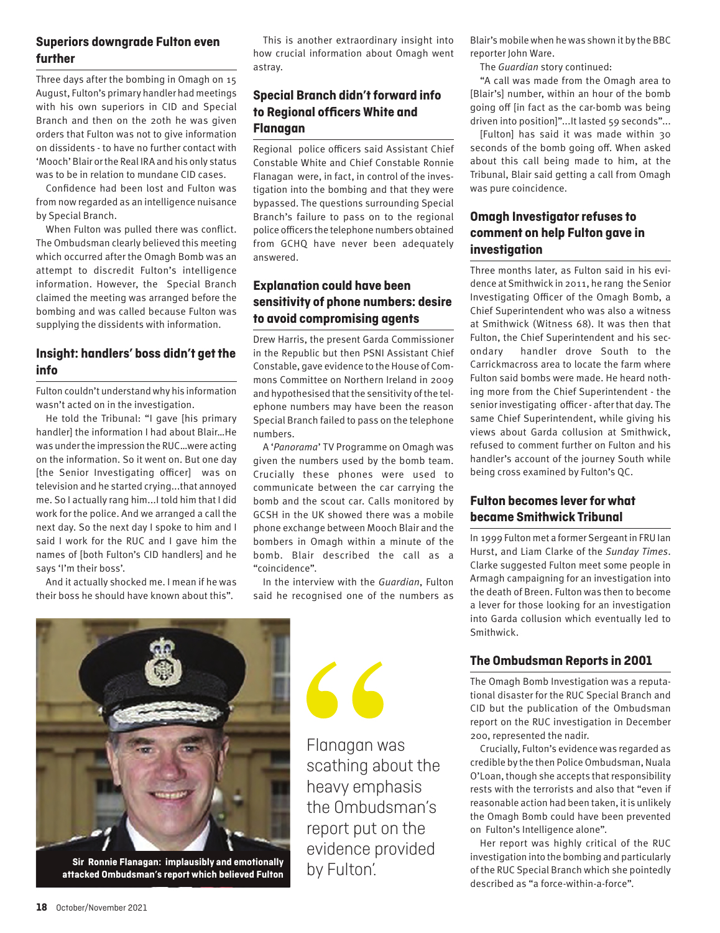#### **Superiors downgrade Fulton even further**

Three days after the bombing in Omagh on 15 August, Fulton's primary handler had meetings with his own superiors in CID and Special Branch and then on the 20th he was given orders that Fulton was not to give information on dissidents - to have no further contact with 'Mooch' Blair or the Real IRA and his only status was to be in relation to mundane CID cases.

Confidence had been lost and Fulton was from now regarded as an intelligence nuisance by Special Branch.

When Fulton was pulled there was conflict. The Ombudsman clearly believed this meeting which occurred after the Omagh Bomb was an attempt to discredit Fulton's intelligence information. However, the Special Branch claimed the meeting was arranged before the bombing and was called because Fulton was supplying the dissidents with information.

#### **Insight: handlers' boss didn't get the info**

Fulton couldn't understand why his information wasn't acted on in the investigation.

He told the Tribunal: "I gave [his primary handler] the information I had about Blair…He was under the impression the RUC…were acting on the information. So it went on. But one day [the Senior Investigating officer] was on television and he started crying...that annoyed me. So I actually rang him...I told him that I did work for the police. And we arranged a call the next day. So the next day I spoke to him and I said I work for the RUC and I gave him the names of [both Fulton's CID handlers] and he says 'I'm their boss'.

And it actually shocked me. I mean if he was their boss he should have known about this".

This is another extraordinary insight into how crucial information about Omagh went astray.

#### **Special Branch didn't forward info to Regional officers White and Flanagan**

Regional police officers said Assistant Chief Constable White and Chief Constable Ronnie Flanagan were, in fact, in control of the investigation into the bombing and that they were bypassed. The questions surrounding Special Branch's failure to pass on to the regional police officers the telephone numbers obtained from GCHQ have never been adequately answered.

#### **Explanation could have been sensitivity of phone numbers: desire to avoid compromising agents**

Drew Harris, the present Garda Commissioner in the Republic but then PSNI Assistant Chief Constable, gave evidence to the House of Commons Committee on Northern Ireland in 2009 and hypothesised that the sensitivity of the telephone numbers may have been the reason Special Branch failed to pass on the telephone numbers.

A '*Panorama*' TV Programme on Omagh was given the numbers used by the bomb team. Crucially these phones were used to communicate between the car carrying the bomb and the scout car. Calls monitored by GCSH in the UK showed there was a mobile phone exchange between Mooch Blair and the bombers in Omagh within a minute of the bomb. Blair described the call as a "coincidence".

In the interview with the *Guardian*, Fulton said he recognised one of the numbers as

 $66$ 

Blair's mobile when he was shown it by the BBC reporter John Ware.

The *Guardian* story continued:

"A call was made from the Omagh area to [Blair's] number, within an hour of the bomb going off [in fact as the car-bomb was being driven into position]"...It lasted 59 seconds"...

[Fulton] has said it was made within 30 seconds of the bomb going off. When asked about this call being made to him, at the Tribunal, Blair said getting a call from Omagh was pure coincidence.

#### **Omagh Investigator refuses to comment on help Fulton gave in investigation**

Three months later, as Fulton said in his evidence at Smithwick in 2011, he rang the Senior Investigating Officer of the Omagh Bomb, a Chief Superintendent who was also a witness at Smithwick (Witness 68). It was then that Fulton, the Chief Superintendent and his secondary handler drove South to the Carrickmacross area to locate the farm where Fulton said bombs were made. He heard nothing more from the Chief Superintendent - the senior investigating officer - after that day. The same Chief Superintendent, while giving his views about Garda collusion at Smithwick, refused to comment further on Fulton and his handler's account of the journey South while being cross examined by Fulton's QC.

#### **Fulton becomes lever for what became Smithwick Tribunal**

In 1999 Fulton met a former Sergeant in FRU Ian Hurst, and Liam Clarke of the *Sunday Times*. Clarke suggested Fulton meet some people in Armagh campaigning for an investigation into the death of Breen. Fulton was then to become a lever for those looking for an investigation into Garda collusion which eventually led to Smithwick.

#### **The Ombudsman Reports in 2001**

The Omagh Bomb Investigation was a reputational disaster for the RUC Special Branch and CID but the publication of the Ombudsman report on the RUC investigation in December 200, represented the nadir.

Crucially, Fulton's evidence was regarded as credible by the then Police Ombudsman, Nuala O'Loan, though she accepts that responsibility rests with the terrorists and also that "even if reasonable action had been taken, it is unlikely the Omagh Bomb could have been prevented on Fulton's Intelligence alone".

Her report was highly critical of the RUC investigation into the bombing and particularly of the RUC Special Branch which she pointedly described as "a force-within-a-force".



**Sir Ronnie Flanagan: implausibly and emotionally and and signally**<br>attacked Ombudsman's report which believed Fulton DY FUITON.

Flanagan was scathing about the heavy emphasis the Ombudsman's report put on the evidence provided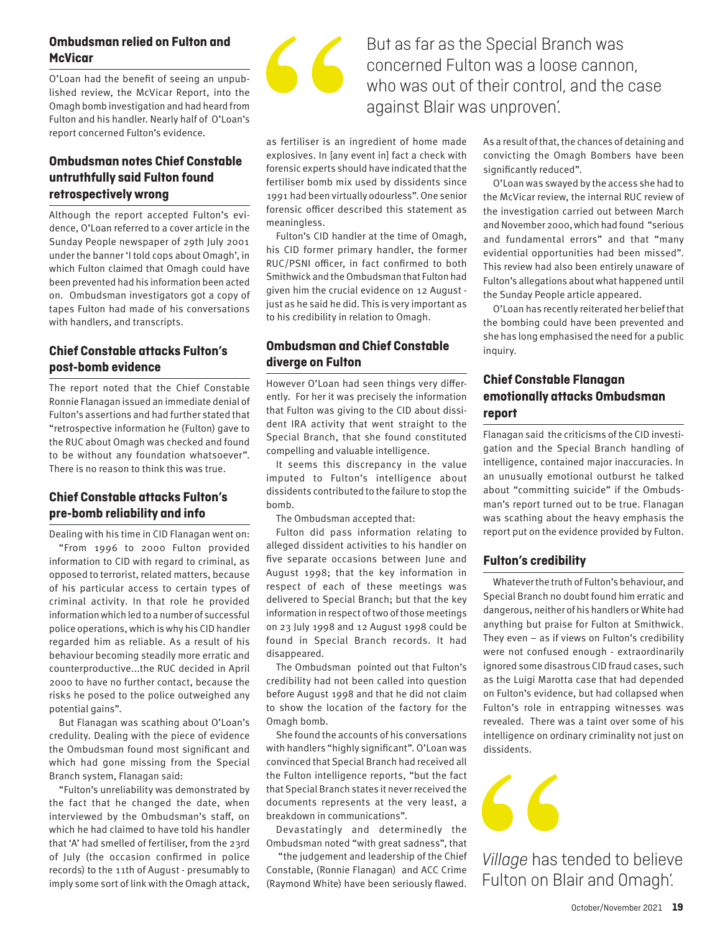#### **Ombudsman relied on Fulton and McVicar**

O'Loan had the benefit of seeing an unpublished review, the McVicar Report, into the Omagh bomb investigation and had heard from Fulton and his handler. Nearly half of O'Loan's report concerned Fulton's evidence.

#### **Ombudsman notes Chief Constable untruthfully said Fulton found retrospectively wrong**

Although the report accepted Fulton's evidence, O'Loan referred to a cover article in the Sunday People newspaper of 29th July 2001 under the banner 'I told cops about Omagh', in which Fulton claimed that Omagh could have been prevented had his information been acted on. Ombudsman investigators got a copy of tapes Fulton had made of his conversations with handlers, and transcripts.

#### **Chief Constable attacks Fulton's post-bomb evidence**

The report noted that the Chief Constable Ronnie Flanagan issued an immediate denial of Fulton's assertions and had further stated that "retrospective information he (Fulton) gave to the RUC about Omagh was checked and found to be without any foundation whatsoever". There is no reason to think this was true.

#### **Chief Constable attacks Fulton's pre-bomb reliability and info**

Dealing with his time in CID Flanagan went on:

"From 1996 to 2000 Fulton provided information to CID with regard to criminal, as opposed to terrorist, related matters, because of his particular access to certain types of criminal activity. In that role he provided information which led to a number of successful police operations, which is why his CID handler regarded him as reliable. As a result of his behaviour becoming steadily more erratic and counterproductive...the RUC decided in April 2000 to have no further contact, because the risks he posed to the police outweighed any potential gains".

But Flanagan was scathing about O'Loan's credulity. Dealing with the piece of evidence the Ombudsman found most significant and which had gone missing from the Special Branch system, Flanagan said:

"Fulton's unreliability was demonstrated by the fact that he changed the date, when interviewed by the Ombudsman's staff, on which he had claimed to have told his handler that 'A' had smelled of fertiliser, from the 23rd of July (the occasion confirmed in police records) to the 11th of August - presumably to imply some sort of link with the Omagh attack,



## But as far as the Special Branch was concerned Fulton was a loose cannon, who was out of their control, and the case against Blair was unproven'.

as fertiliser is an ingredient of home made explosives. In [any event in] fact a check with forensic experts should have indicated that the fertiliser bomb mix used by dissidents since 1991 had been virtually odourless". One senior forensic officer described this statement as meaningless.

Fulton's CID handler at the time of Omagh, his CID former primary handler, the former RUC/PSNI officer, in fact confirmed to both Smithwick and the Ombudsman that Fulton had given him the crucial evidence on 12 August just as he said he did. This is very important as to his credibility in relation to Omagh.

#### **Ombudsman and Chief Constable diverge on Fulton**

However O'Loan had seen things very differently. For her it was precisely the information that Fulton was giving to the CID about dissident IRA activity that went straight to the Special Branch, that she found constituted compelling and valuable intelligence.

It seems this discrepancy in the value imputed to Fulton's intelligence about dissidents contributed to the failure to stop the bomb.

The Ombudsman accepted that:

Fulton did pass information relating to alleged dissident activities to his handler on five separate occasions between June and August 1998; that the key information in respect of each of these meetings was delivered to Special Branch; but that the key information in respect of two of those meetings on 23 July 1998 and 12 August 1998 could be found in Special Branch records. It had disappeared.

The Ombudsman pointed out that Fulton's credibility had not been called into question before August 1998 and that he did not claim to show the location of the factory for the Omagh bomb.

She found the accounts of his conversations with handlers "highly significant". O'Loan was convinced that Special Branch had received all the Fulton intelligence reports, "but the fact that Special Branch states it never received the documents represents at the very least, a breakdown in communications".

Devastatingly and determinedly the Ombudsman noted "with great sadness", that

 "the judgement and leadership of the Chief Constable, (Ronnie Flanagan) and ACC Crime (Raymond White) have been seriously flawed. As a result of that, the chances of detaining and convicting the Omagh Bombers have been significantly reduced".

O'Loan was swayed by the access she had to the McVicar review, the internal RUC review of the investigation carried out between March and November 2000, which had found "serious and fundamental errors" and that "many evidential opportunities had been missed". This review had also been entirely unaware of Fulton's allegations about what happened until the Sunday People article appeared.

O'Loan has recently reiterated her belief that the bombing could have been prevented and she has long emphasised the need for a public inquiry.

#### **Chief Constable Flanagan emotionally attacks Ombudsman report**

Flanagan said the criticisms of the CID investigation and the Special Branch handling of intelligence, contained major inaccuracies. In an unusually emotional outburst he talked about "committing suicide" if the Ombudsman's report turned out to be true. Flanagan was scathing about the heavy emphasis the report put on the evidence provided by Fulton.

#### **Fulton's credibility**

Whatever the truth of Fulton's behaviour, and Special Branch no doubt found him erratic and dangerous, neither of his handlers or White had anything but praise for Fulton at Smithwick. They even – as if views on Fulton's credibility were not confused enough - extraordinarily ignored some disastrous CID fraud cases, such as the Luigi Marotta case that had depended on Fulton's evidence, but had collapsed when Fulton's role in entrapping witnesses was revealed. There was a taint over some of his intelligence on ordinary criminality not just on dissidents.



*Village* has tended to believe Fulton on Blair and Omagh'.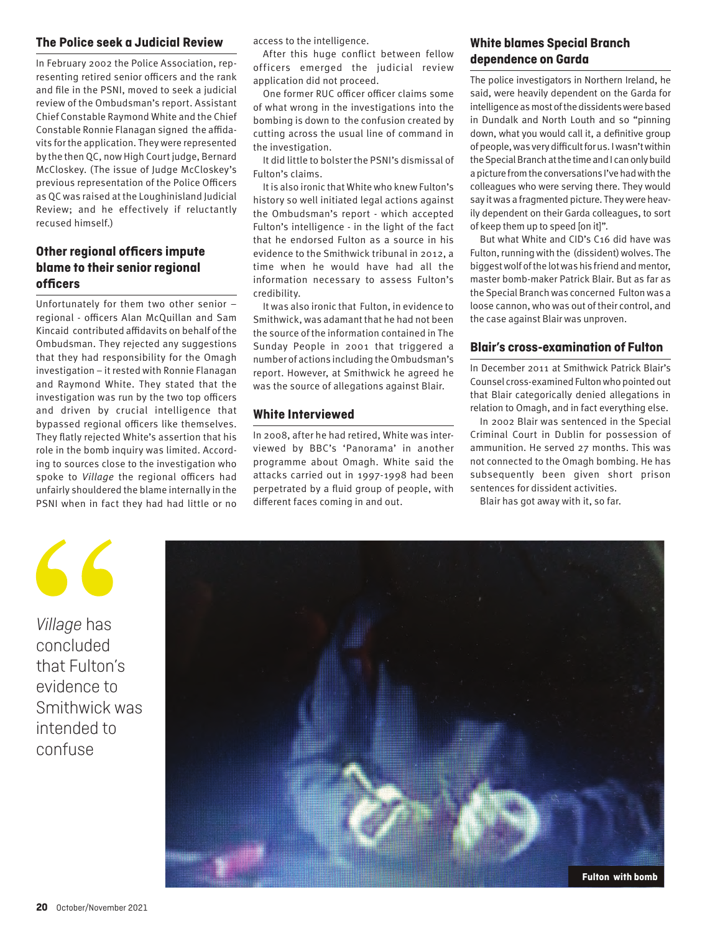#### **The Police seek a Judicial Review**

In February 2002 the Police Association, representing retired senior officers and the rank and file in the PSNI, moved to seek a judicial review of the Ombudsman's report. Assistant Chief Constable Raymond White and the Chief Constable Ronnie Flanagan signed the affidavits for the application. They were represented by the then QC, now High Court judge, Bernard McCloskey. (The issue of Judge McCloskey's previous representation of the Police Officers as QC was raised at the Loughinisland Judicial Review; and he effectively if reluctantly recused himself.)

#### **Other regional officers impute blame to their senior regional officers**

Unfortunately for them two other senior – regional - officers Alan McQuillan and Sam Kincaid contributed affidavits on behalf of the Ombudsman. They rejected any suggestions that they had responsibility for the Omagh investigation – it rested with Ronnie Flanagan and Raymond White. They stated that the investigation was run by the two top officers and driven by crucial intelligence that bypassed regional officers like themselves. They flatly rejected White's assertion that his role in the bomb inquiry was limited. According to sources close to the investigation who spoke to *Village* the regional officers had unfairly shouldered the blame internally in the PSNI when in fact they had had little or no

access to the intelligence.

After this huge conflict between fellow officers emerged the judicial review application did not proceed.

One former RUC officer officer claims some of what wrong in the investigations into the bombing is down to the confusion created by cutting across the usual line of command in the investigation.

It did little to bolster the PSNI's dismissal of Fulton's claims.

It is also ironic that White who knew Fulton's history so well initiated legal actions against the Ombudsman's report - which accepted Fulton's intelligence - in the light of the fact that he endorsed Fulton as a source in his evidence to the Smithwick tribunal in 2012, a time when he would have had all the information necessary to assess Fulton's credibility.

It was also ironic that Fulton, in evidence to Smithwick, was adamant that he had not been the source of the information contained in The Sunday People in 2001 that triggered a number of actions including the Ombudsman's report. However, at Smithwick he agreed he was the source of allegations against Blair.

#### **White Interviewed**

In 2008, after he had retired, White was interviewed by BBC's 'Panorama' in another programme about Omagh. White said the attacks carried out in 1997-1998 had been perpetrated by a fluid group of people, with different faces coming in and out.

#### **White blames Special Branch dependence on Garda**

The police investigators in Northern Ireland, he said, were heavily dependent on the Garda for intelligence as most of the dissidents were based in Dundalk and North Louth and so "pinning down, what you would call it, a definitive group of people, was very difficult for us. I wasn't within the Special Branch at the time and I can only build a picture from the conversations I've had with the colleagues who were serving there. They would say it was a fragmented picture. They were heavily dependent on their Garda colleagues, to sort of keep them up to speed [on it]".

But what White and CID's C16 did have was Fulton, running with the (dissident) wolves. The biggest wolf of the lot was his friend and mentor, master bomb-maker Patrick Blair. But as far as the Special Branch was concerned Fulton was a loose cannon, who was out of their control, and the case against Blair was unproven.

#### **Blair's cross-examination of Fulton**

In December 2011 at Smithwick Patrick Blair's Counsel cross-examined Fulton who pointed out that Blair categorically denied allegations in relation to Omagh, and in fact everything else.

In 2002 Blair was sentenced in the Special Criminal Court in Dublin for possession of ammunition. He served 27 months. This was not connected to the Omagh bombing. He has subsequently been given short prison sentences for dissident activities.

Blair has got away with it, so far.



*Village* has concluded that Fulton's evidence to Smithwick was intended to confuse